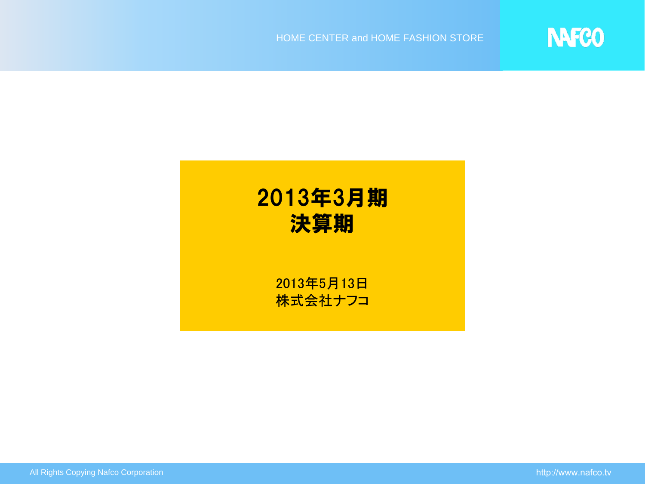

**NAFCO**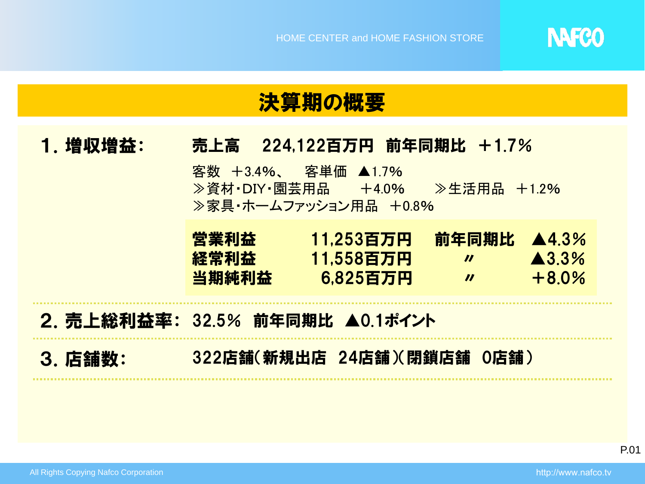

### 決算期の概要

#### 1.増収増益: 売上高 224,122百万円 前年同期比 +1.7%

客数 +3.4%、 客単価 ▲1.7% ≫資材·DIY·園芸用品 +4.0% ≫生活用品 +1.2% ≫家具・ホームファッション用品 +0.8%

| 営業利益  | 11.253百万円 | 前年同期比 | <b>A4.3%</b>      |
|-------|-----------|-------|-------------------|
| 経常利益  | 11.558百万円 | Ш     | $\triangle 3.3\%$ |
| 当期純利益 | 6.825百万円  | Ш     | $+8.0%$           |

### 2. 売上総利益率: 32.5% 前年同期比 ▲0.1ポイント

3.店舗数: 322店舗(新規出店 24店舗)(閉鎖店舗 0店舗)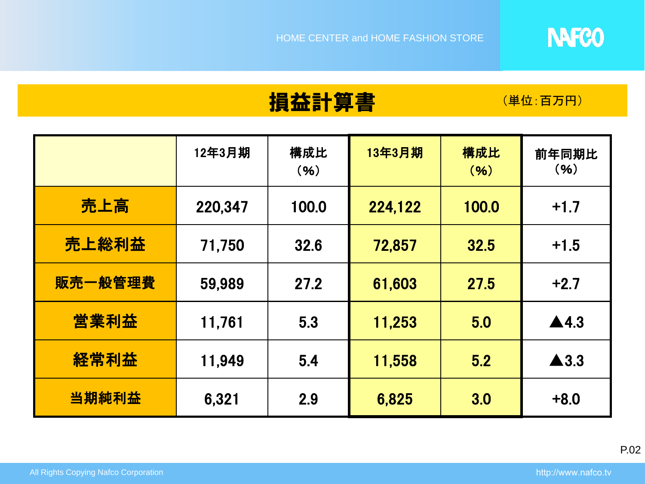

## 損益計算書 (単位:百万円)

|         | 12年3月期  | 構成比<br>(96) | 13年3月期  | 構成比<br>(96) | 前年同期比<br>(96)        |
|---------|---------|-------------|---------|-------------|----------------------|
| 売上高     | 220,347 | 100.0       | 224,122 | 100.0       | $+1.7$               |
| 売上総利益   | 71,750  | 32.6        | 72,857  | 32.5        | $+1.5$               |
| 販売一般管理費 | 59,989  | 27.2        | 61,603  | 27.5        | $+2.7$               |
| 営業利益    | 11,761  | 5.3         | 11,253  | 5.0         | $\blacktriangle$ 4.3 |
| 経常利益    | 11,949  | 5.4         | 11,558  | 5.2         | $\blacktriangle$ 3.3 |
| 当期純利益   | 6,321   | 2.9         | 6,825   | 3.0         | $+8.0$               |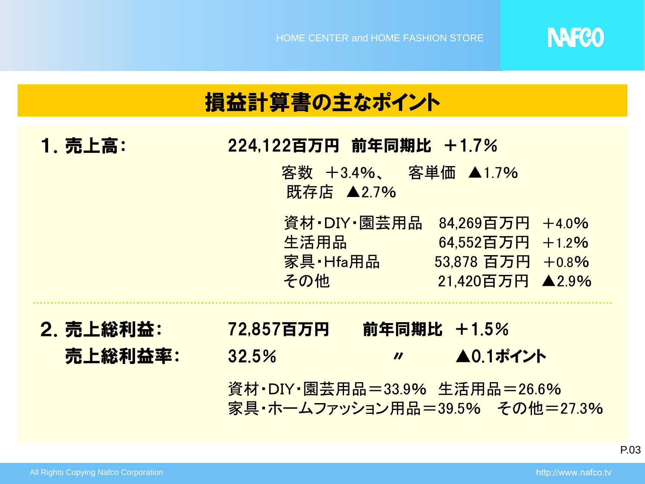

| 損益計算書の主なポイント         |                                                                                                                                                       |  |  |  |  |  |  |
|----------------------|-------------------------------------------------------------------------------------------------------------------------------------------------------|--|--|--|--|--|--|
| 1. 売上高:              | 224,122百万円 前年同期比 +1.7%<br>客数 +3.4%、 客単価 ▲1.7%<br>既存店 ▲2.7%                                                                                            |  |  |  |  |  |  |
|                      | 資材・DIY・園芸用品<br>84,269百万円 +4.0%<br>生活用品<br>64.552百万円 +1.2%<br>家具·Hfa用品<br>53,878 百万円 +0.8%<br>その他<br>21,420百万円 ▲2.9%                                   |  |  |  |  |  |  |
| 2. 売上総利益:<br>売上総利益率: | 前年同期比 +1.5%<br>72.857百万円<br><b>▲0.1ポイント</b><br>32.5%<br>$\boldsymbol{\prime\prime}$<br>資材・DIY・園芸用品=33.9% 生活用品=26.6%<br>家具·ホームファッション用品=39.5% その他=27.3% |  |  |  |  |  |  |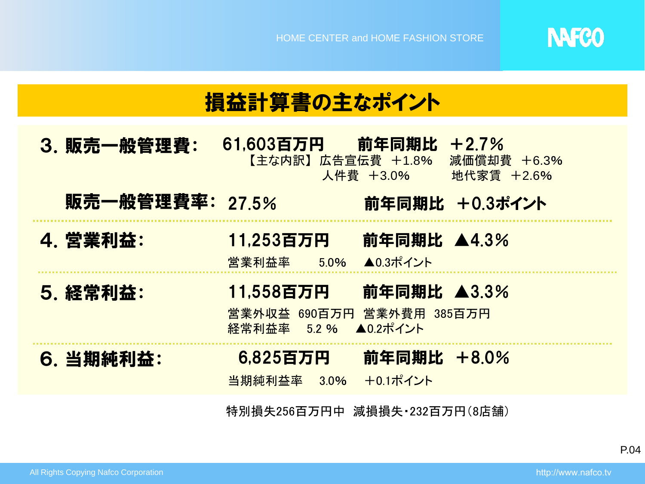

| 損益計算書の主なポイント    |                                                                                                   |  |  |  |  |  |
|-----------------|---------------------------------------------------------------------------------------------------|--|--|--|--|--|
| 3. 販売一般管理費:     | <u>61,603百万円  前年同期比</u><br>$+2.7%$<br>【主な内訳】広告宣伝費 +1.8%<br>減価償却費 +6.3%<br>人件費 +3.0%<br>地代家賃 +2.6% |  |  |  |  |  |
| 販売一般管理費率: 27.5% | 前年同期比 +0.3ポイント                                                                                    |  |  |  |  |  |
| 4. 営業利益:        | 前年同期比 ▲4.3%<br>11,253百万円<br>営業利益率 5.0% ▲0.3ポイント                                                   |  |  |  |  |  |
| 5. 経常利益:        | 前年同期比 ▲3.3%<br>11,558百万円<br>営業外収益 690百万円 営業外費用 385百万円<br>経常利益率 5.2 % ▲0.2ポイント                     |  |  |  |  |  |
| 6. 当期純利益:       | 前年同期比 +8.0%<br>6,825百万円<br>+0.1ポイント<br>当期純利益率 3.0%                                                |  |  |  |  |  |
|                 |                                                                                                   |  |  |  |  |  |

特別損失256百万円中 減損損失・232百万円(8店舗)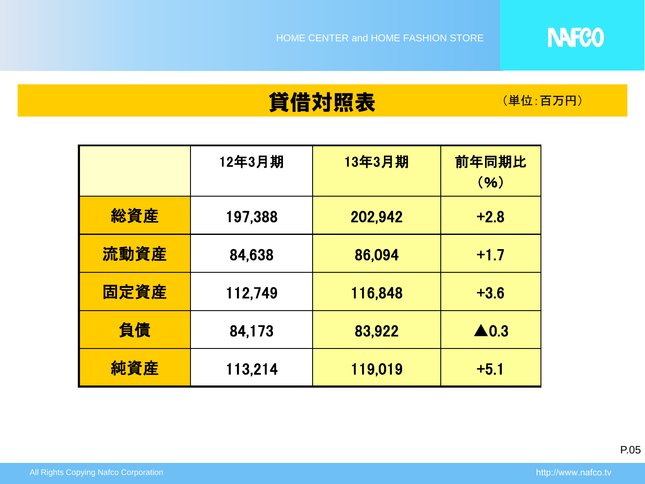## **貸借対照表 (単位:百万円)**

|      | 12年3月期  | 13年3月期  | 前年同期比<br>(96)   |
|------|---------|---------|-----------------|
| 総資産  | 197,388 | 202,942 | $+2.8$          |
| 流動資産 | 84,638  | 86,094  | $+1.7$          |
| 固定資産 | 112,749 | 116,848 | $+3.6$          |
| 負債   | 84,173  | 83,922  | $\triangle$ 0.3 |
| 純資産  | 113,214 | 119,019 | $+5.1$          |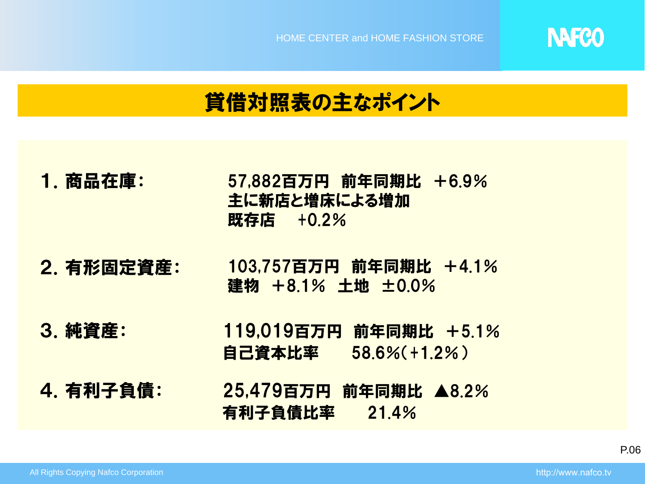

## 貸借対照表の主なポイント

- 1.商品在庫: 57,882百万円 前年同期比 +6.9% 主に新店と増床による増加 既存店 +0.2%
- 2.有形固定資産: 103,757百万円 前年同期比 +4.1% 建物 +8.1% 土地 ±0.0%
- 3.純資産: 119,019百万円 前年同期比 +5.1% 自己資本比率 58.6%(+1.2%)
- 4.有利子負債: 25,479百万円 前年同期比 ▲8.2% 有利子負債比率 21.4%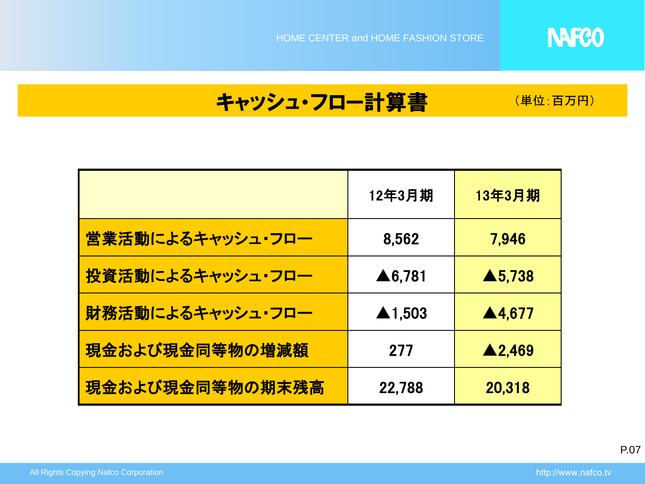

## キャッシュ・フロー計算書 (単位:百万円)

|                  | 12年3月期                 | 13年3月期            |
|------------------|------------------------|-------------------|
| 営業活動によるキャッシュ・フロー | 8,562                  | 7.946             |
| 投資活動によるキャッシュ・フロー | $\triangle 6,781$      | $\triangle$ 5,738 |
| 財務活動によるキャッシュ・フロー | $\blacktriangle$ 1,503 | ▲4,677            |
| 現金および現金同等物の増減額   | 277                    | ▲2,469            |
| 現金および現金同等物の期末残高  | 22,788                 | 20,318            |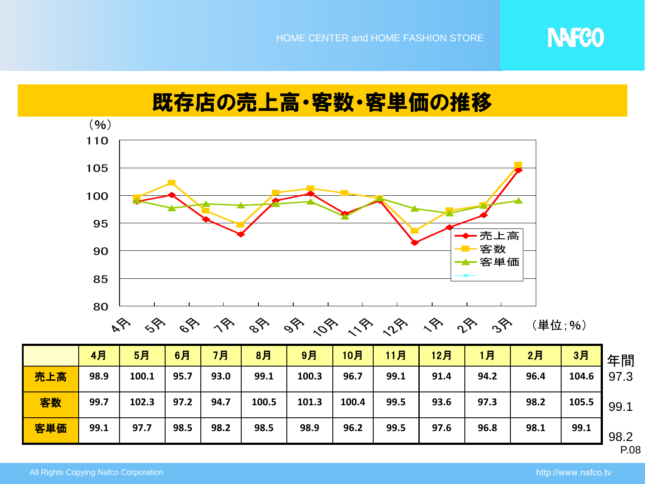

## 既存店の売上高・客数・客単価の推移



|     | 4月   | 5月    | 6月   | 7月   | 8 <sup>7</sup> | 9月    | 10月   | 11月  | 12月  | 1月   | 2月   | 3月    | 年間   |
|-----|------|-------|------|------|----------------|-------|-------|------|------|------|------|-------|------|
| 売上高 | 98.9 | 100.1 | 95.7 | 93.0 | 99.1           | 100.3 | 96.7  | 99.1 | 91.4 | 94.2 | 96.4 | 104.6 | 97.3 |
| 客数  | 99.7 | 102.3 | 97.2 | 94.7 | 100.5          | 101.3 | 100.4 | 99.5 | 93.6 | 97.3 | 98.2 | 105.5 | 99.1 |
| 客単価 | 99.1 | 97.7  | 98.5 | 98.2 | 98.5           | 98.9  | 96.2  | 99.5 | 97.6 | 96.8 | 98.1 | 99.1  | 98.2 |
|     |      |       |      |      |                |       |       |      |      |      |      |       | P.08 |

All Rights Copying Nafco Corporation http://www.nafco.tv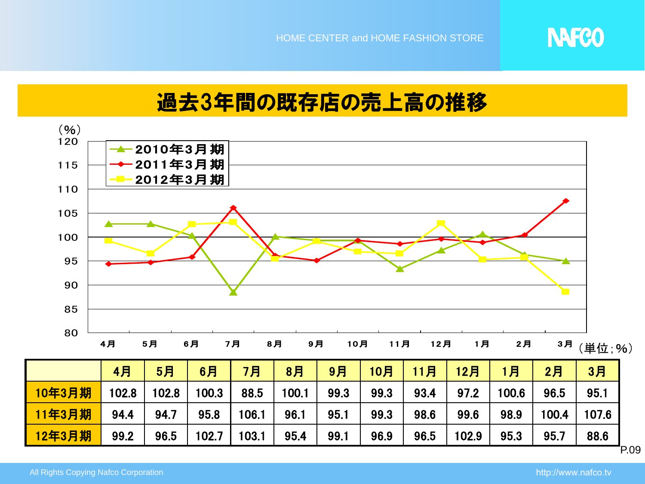

### 過去3年間の既存店の売上高の推移



P.09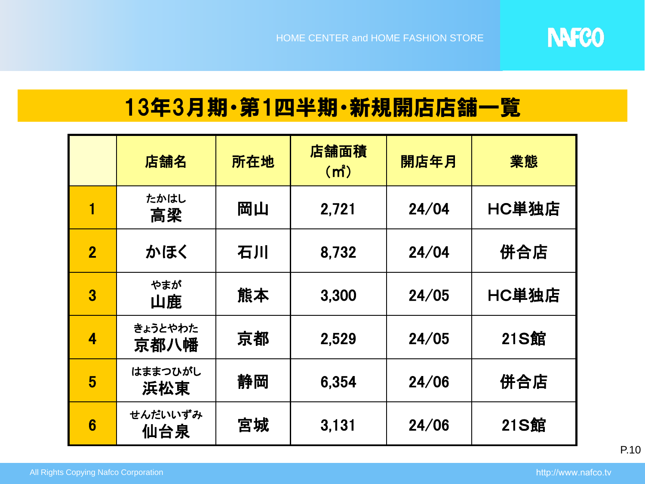

# 13年3月期・第1四半期・新規開店店舗一覧

|                | 店舗名             | 所在地 | 店舗面積<br>(m <sup>2</sup> ) | 開店年月  | 業態          |
|----------------|-----------------|-----|---------------------------|-------|-------------|
|                | たかはし<br>高梁      | 岡山  | 2,721                     | 24/04 | HC単独店       |
| $\overline{2}$ | かほく             | 石川  | 8,732                     | 24/04 | 併合店         |
| 3              | やまが<br>山鹿       | 熊本  | 3,300                     | 24/05 | HC単独店       |
| 4              | きょうとやわた<br>京都八幡 | 京都  | 2,529                     | 24/05 | <b>21S館</b> |
| 5              | はままつひがし<br>浜松東  | 静岡  | 6,354                     | 24/06 | 併合店         |
| 6              | せんだいいずみ<br>仙台泉  | 宮城  | 3,131                     | 24/06 | <b>21S館</b> |

P.10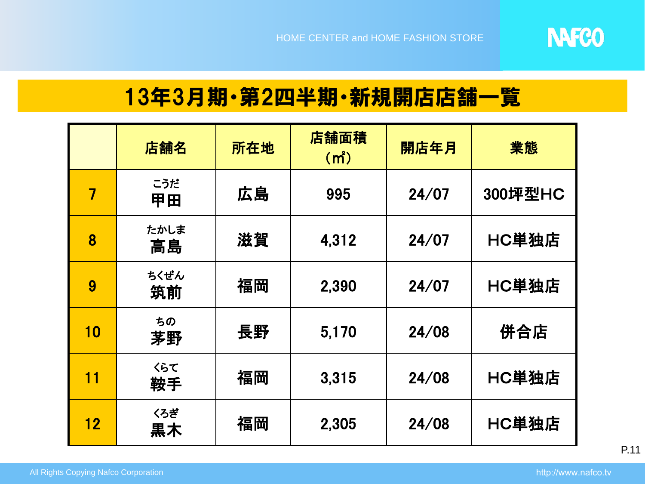

### 13年3月期・第2四半期・新規開店店舗一覧

|    | 店舗名        | 所在地 | 店舗面積<br>(m <sup>2</sup> ) | 開店年月  | 業態      |
|----|------------|-----|---------------------------|-------|---------|
| 7  | こうだ<br>甲田  | 広島  | 995                       | 24/07 | 300坪型HC |
| 8  | たかしま<br>高島 | 滋賀  | 4,312                     | 24/07 | HC単独店   |
| 9  | ちくぜん<br>筑前 | 福岡  | 2,390                     | 24/07 | HC単独店   |
| 10 | ちの<br>茅野   | 長野  | 5,170                     | 24/08 | 併合店     |
| 11 | くらて<br>鞍手  | 福岡  | 3,315                     | 24/08 | HC単独店   |
| 12 | くろぎ<br>未黒  | 福岡  | 2,305                     | 24/08 | HC単独店   |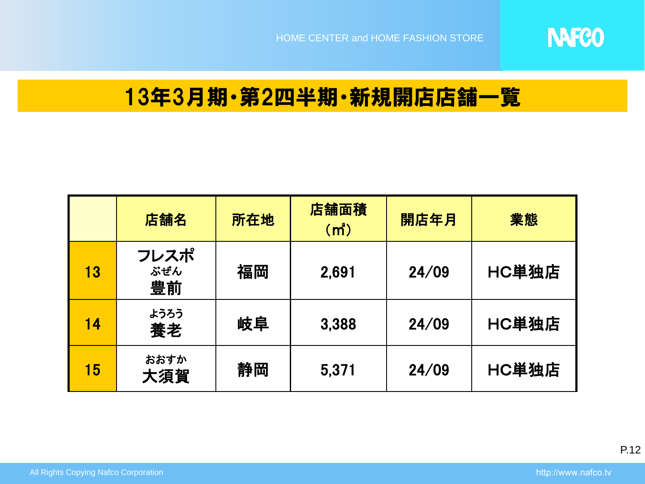

### 13年3月期・第2四半期・新規開店店舗一覧

|    | 店舗名               | 所在地 | 店舗面積<br>(m <sup>2</sup> ) | 開店年月  | 業態    |
|----|-------------------|-----|---------------------------|-------|-------|
| 13 | フレスポ<br>ぶぜん<br>豊前 | 福岡  | 2,691                     | 24/09 | HC単独店 |
| 14 | ようろう<br>養老        | 岐阜  | 3,388                     | 24/09 | HC単独店 |
| 15 | おおすか<br>大須賀       | 静岡  | 5,371                     | 24/09 | HC単独店 |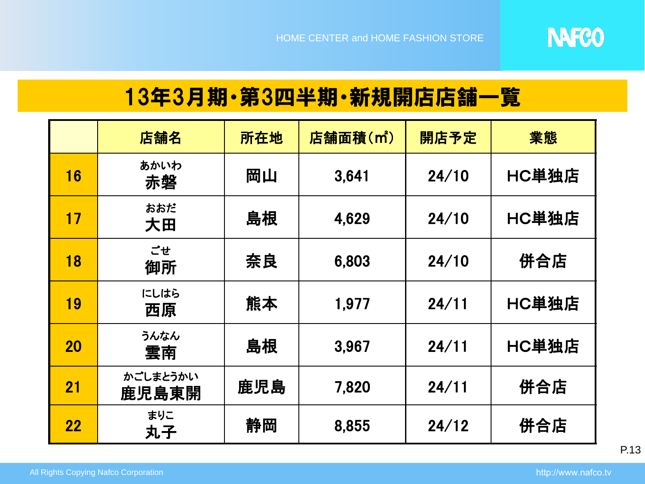

## 13年3月期・第3四半期・新規開店店舗一覧

|           | 店舗名               | 所在地 | 店舗面積(m <sup>2</sup> ) | 開店予定  | 業態    |
|-----------|-------------------|-----|-----------------------|-------|-------|
| 16        | あかいわ<br>赤磐        | 岡山  | 3,641                 | 24/10 | HC単独店 |
| 17        | おおだ<br>大田         | 島根  | 4,629                 | 24/10 | HC単独店 |
| 18        | ごせ<br>御所          | 奈良  | 6,803                 | 24/10 | 併合店   |
| 19        | にしはら<br>西原        | 熊本  | 1,977                 | 24/11 | HC単独店 |
| <b>20</b> | うんなん<br>雲南        | 島根  | 3,967                 | 24/11 | HC単独店 |
| 21        | かごしまとうかい<br>鹿児島東開 | 鹿児島 | 7,820                 | 24/11 | 併合店   |
| <b>22</b> | まりこ<br>丸子         | 静岡  | 8,855                 | 24/12 | 併合店   |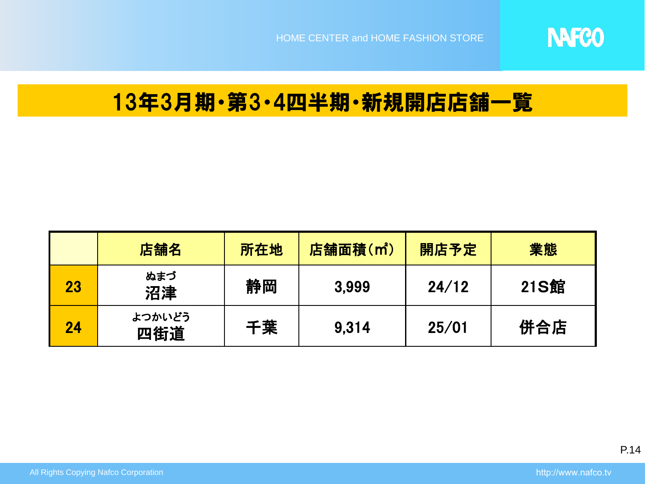

### 13年3月期・第3・4四半期・新規開店店舗一覧

|    | 店舗名           | 所在地 | 店舗面積(m <sup>2</sup> ) | 開店予定  | 業態          |
|----|---------------|-----|-----------------------|-------|-------------|
| 23 | ぬまづ<br>沼津     | 静岡  | 3,999                 | 24/12 | <b>21S館</b> |
| 24 | よつかいどう<br>四街道 | 千葉  | 9.314                 | 25/01 | 併合店         |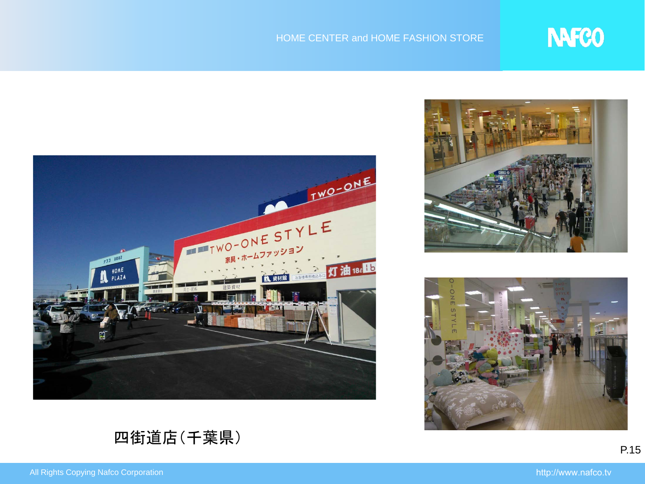

#### HOME CENTER and HOME FASHION STORE







四街道店(千葉県)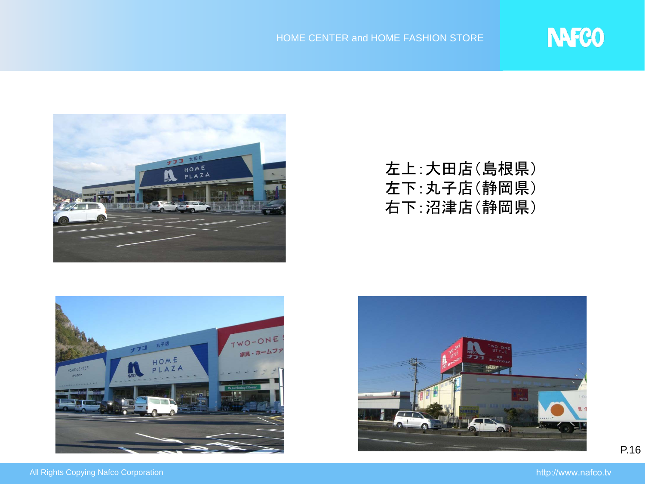

### 左上:大田店(島根県) 左下:丸子店(静岡県) 右下:沼津店(静岡県)





P.16

**NAFCO**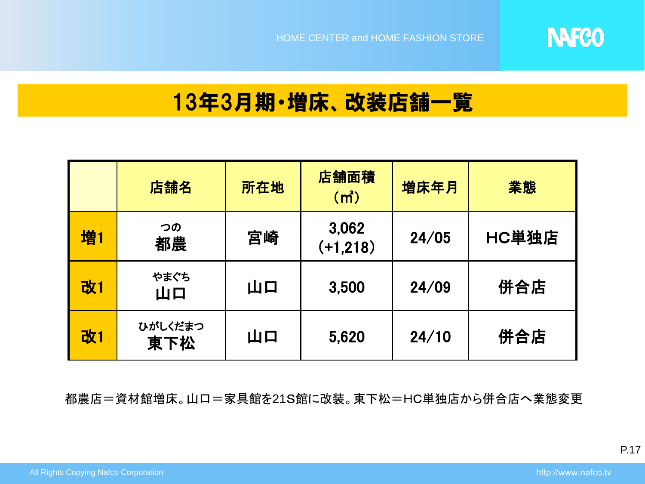

### 13年3月期・増床、改装店舗一覧

|    | 店舗名            | 所在地 | 店舗面積<br>(m <sup>2</sup> ) | 増床年月  | 業態    |
|----|----------------|-----|---------------------------|-------|-------|
| 増1 | つの<br>都農       | 宮崎  | 3,062<br>$(+1,218)$       | 24/05 | HC単独店 |
| 改1 | やまぐち<br>山口     | 山口  | 3,500                     | 24/09 | 併合店   |
| 改1 | ひがしくだまつ<br>東下松 | 山口  | 5,620                     | 24/10 | 併合店   |

都農店=資材館増床。山口=家具館を21S館に改装。東下松=HC単独店から併合店へ業態変更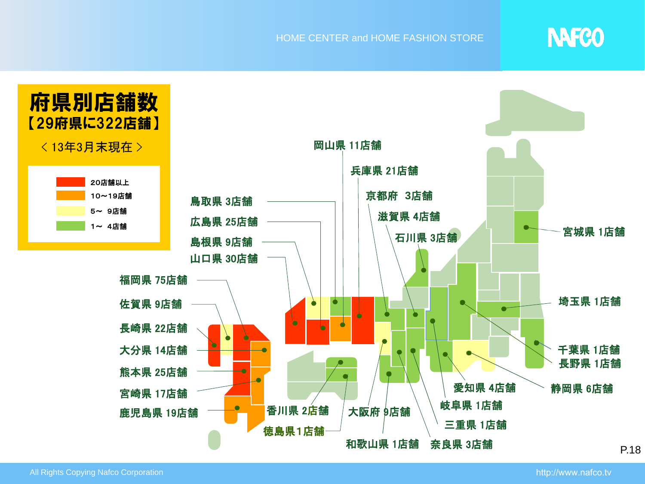#### HOME CENTER and HOME FASHION STORE

# **NAFCO**

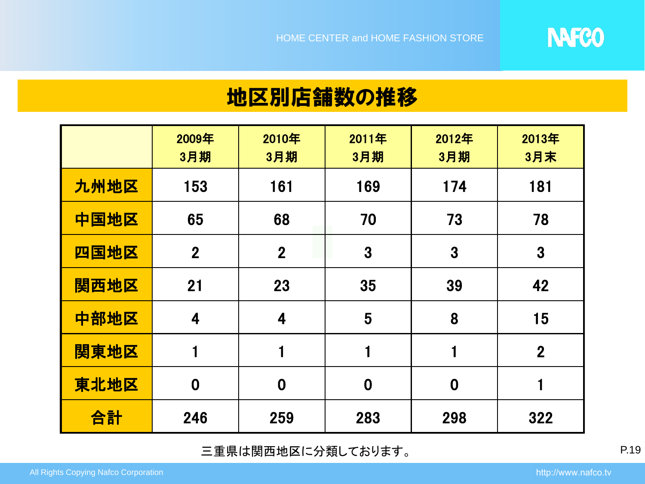

### 地区別店舗数の推移

|      | 2009年<br>3月期   | 2010年<br>3月期   | 2011年<br>3月期 | 2012年<br>3月期 | 2013年<br>3月末   |
|------|----------------|----------------|--------------|--------------|----------------|
| 九州地区 | 153            | 161            | 169          | 174          | 181            |
| 中国地区 | 65             | 68             | 70           | 73           | 78             |
| 四国地区 | $\overline{2}$ | $\overline{2}$ | 3            | 3            | 3              |
| 関西地区 | 21             | 23             | 35           | 39           | 42             |
| 中部地区 | 4              | 4              | 5            | 8            | 15             |
| 関東地区 | 1              | 1              | 1            | 1            | $\overline{2}$ |
| 東北地区 | $\bf{0}$       | $\bf{0}$       | $\bf{0}$     | $\bf{0}$     |                |
| 合計   | 246            | 259            | 283          | 298          | 322            |

三重県は関西地区に分類しております。 P.19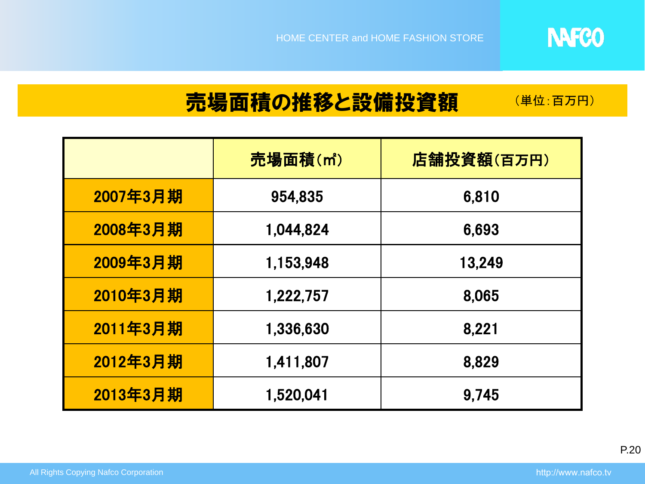

#### 売場面積の推移と設備投資額 (単位:百万円)

|          | 売場面積(m <sup>2</sup> ) | 店舗投資額(百万円) |  |  |
|----------|-----------------------|------------|--|--|
| 2007年3月期 | 954,835               | 6,810      |  |  |
| 2008年3月期 | 1,044,824             | 6,693      |  |  |
| 2009年3月期 | 1,153,948             | 13,249     |  |  |
| 2010年3月期 | 1,222,757             | 8,065      |  |  |
| 2011年3月期 | 1,336,630             | 8,221      |  |  |
| 2012年3月期 | 1,411,807             | 8,829      |  |  |
| 2013年3月期 | 1,520,041             | 9,745      |  |  |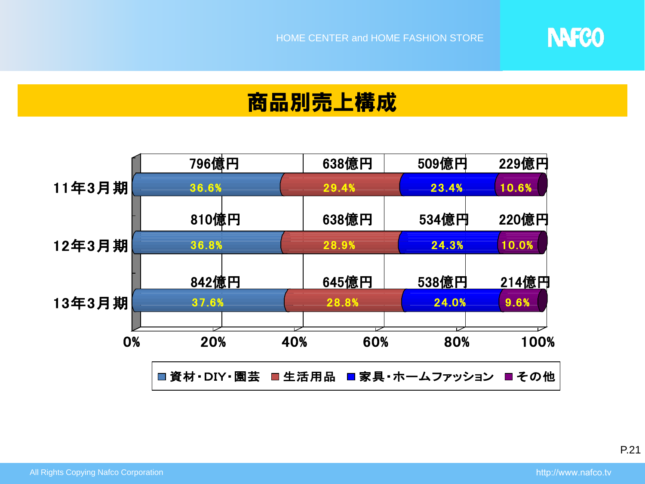商品別売上構成



**NAFCO** 

P.21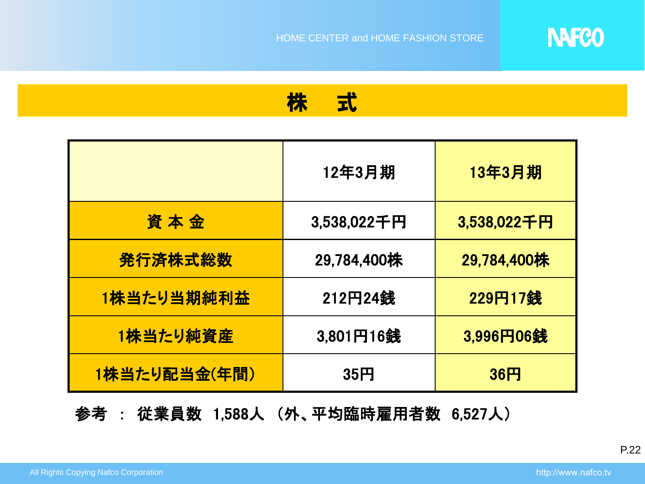

株 式

|              | 12年3月期      | <b>13年3月期</b> |
|--------------|-------------|---------------|
| 資本金          | 3,538,022千円 | 3,538,022千円   |
| 発行済株式総数      | 29,784,400株 | 29,784,400株   |
| 1株当たり当期純利益   | 212円24銭     | 229円17銭       |
| 1株当たり純資産     | 3,801円16銭   | 3,996円06銭     |
| 1株当たり配当金(年間) | 35円         | 36H           |

参考 : 従業員数 1,588人 (外、平均臨時雇用者数 6,527人)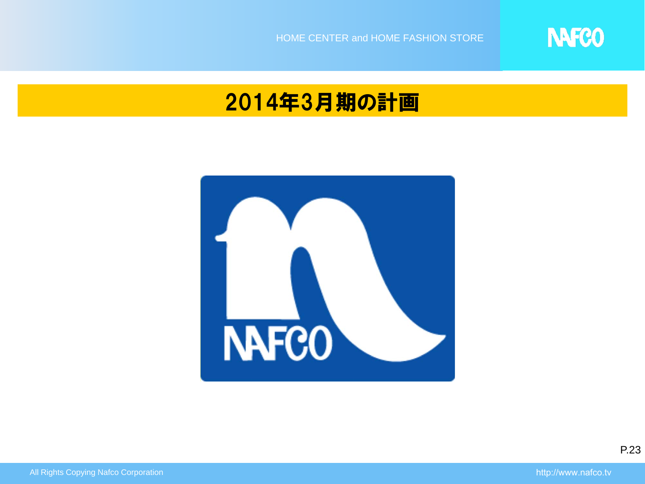

# 2014年3月期の計画

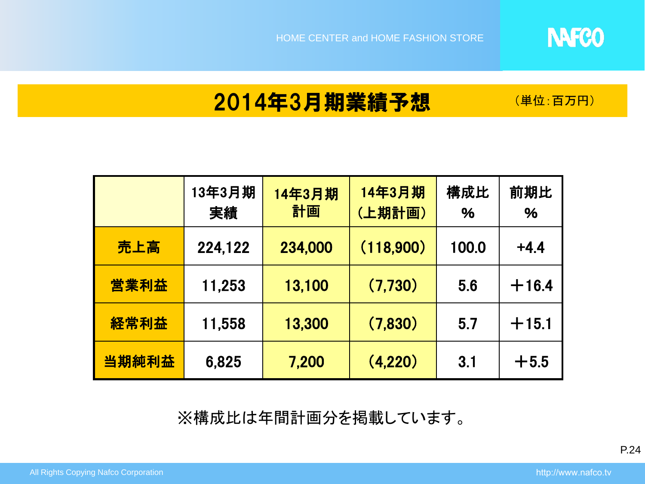(単位:百万円)

**NAFCO** 

# 2014年3月期業績予想

|       | 13年3月期<br>実績 | 14年3月期<br>計画 | 14年3月期<br>(上期計画) | 構成比<br>% | 前期比<br>% |
|-------|--------------|--------------|------------------|----------|----------|
| 売上高   | 224,122      | 234,000      | (118,900)        | 100.0    | $+4.4$   |
| 営業利益  | 11,253       | 13,100       | (7,730)          | 5.6      | $+16.4$  |
| 経常利益  | 11,558       | 13,300       | (7,830)          | 5.7      | $+15.1$  |
| 当期純利益 | 6,825        | 7,200        | (4,220)          | 3.1      | $+5.5$   |

※構成比は年間計画分を掲載しています。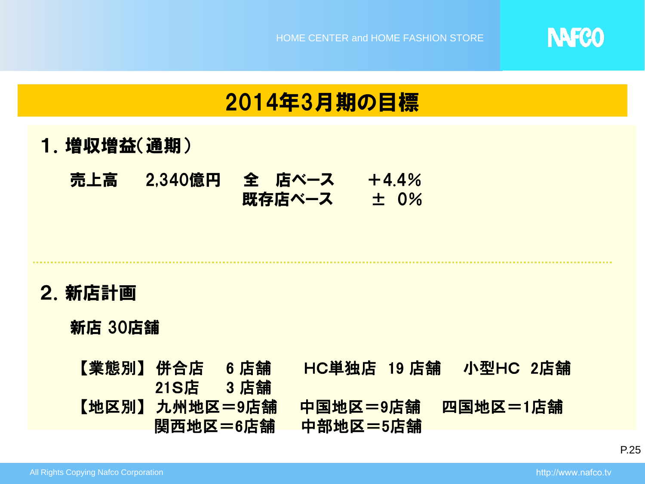

## 2014年3月期の目標

- 1.増収増益(通期)
	- 売上高 2,340億円 全 店ベース +4.4% 既存店ベース ± 0%

### 2.新店計画

### 新店 30店舗

【業態別】 併合店 6 店舗 HC単独店 19 店舗 小型HC 2店舗 21S店 3 店舗 【地区別】 九州地区=9店舗 中国地区=9店舗 四国地区=1店舗 関西地区=6店舗 中部地区=5店舗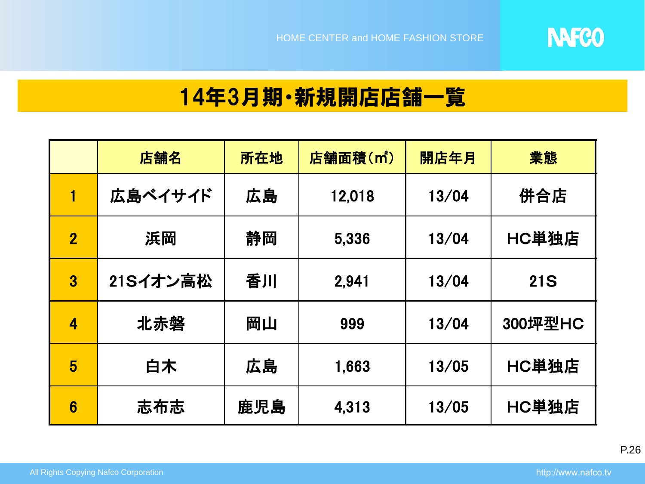

# 14年3月期・新規開店店舗一覧

|                         | 店舗名      | 所在地 | 店舗面積(m <sup>2</sup> ) | 開店年月  | 業態         |
|-------------------------|----------|-----|-----------------------|-------|------------|
| 1                       | 広島ベイサイド  | 広島  | 12,018                | 13/04 | 併合店        |
| $\overline{\mathbf{2}}$ | 浜岡       | 静岡  | 5,336                 | 13/04 | HC単独店      |
| $\overline{\mathbf{3}}$ | 21Sイオン高松 | 香川  | 2.941                 | 13/04 | <b>21S</b> |
| 4                       | 北赤磐      | 岡山  | 999                   | 13/04 | 300坪型HC    |
| 5                       | 白木       | 広島  | 1,663                 | 13/05 | HC単独店      |
| 6                       | 志布志      | 鹿児島 | 4.313                 | 13/05 | HC単独店      |